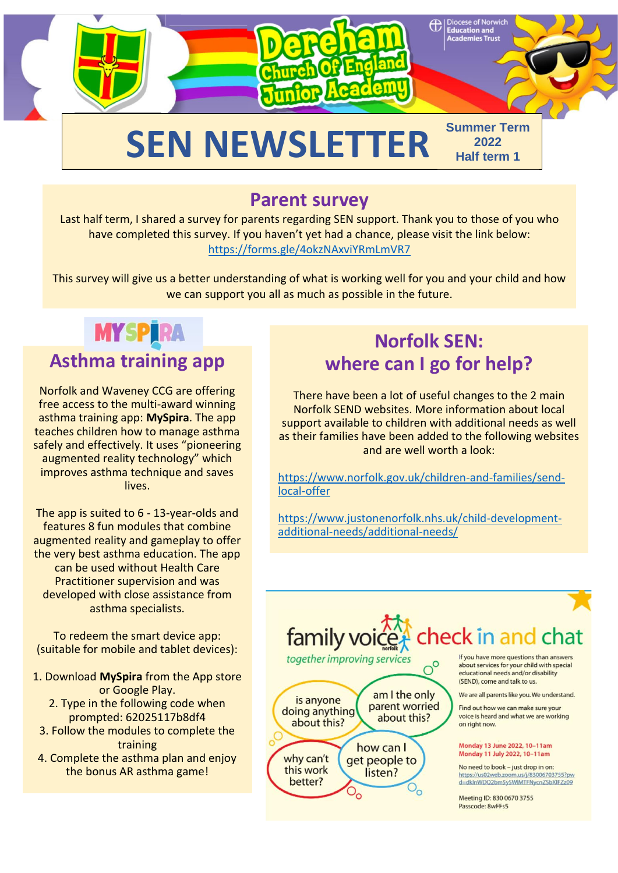

## **Parent survey**

Last half term, I shared a survey for parents regarding SEN support. Thank you to those of you who have completed this survey. If you haven't yet had a chance, please visit the link below: <https://forms.gle/4okzNAxviYRmLmVR7>

This survey will give us a better understanding of what is working well for you and your child and how we can support you all as much as possible in the future.

## **MYSPIRA Asthma training app**

Norfolk and Waveney CCG are offering free access to the multi-award winning asthma training app: **MySpira**. The app teaches children how to manage asthma safely and effectively. It uses "pioneering augmented reality technology" which improves asthma technique and saves lives.

The app is suited to 6 - 13-year-olds and features 8 fun modules that combine augmented reality and gameplay to offer the very best asthma education. The app can be used without Health Care Practitioner supervision and was developed with close assistance from asthma specialists.

To redeem the smart device app: (suitable for mobile and tablet devices):

- 1. Download **MySpira** from the App store or Google Play. 2. Type in the following code when
	- prompted: 62025117b8df4
	- 3. Follow the modules to complete the training
- 4. Complete the asthma plan and enjoy the bonus AR asthma game!

## **Norfolk SEN: where can I go for help?**

There have been a lot of useful changes to the 2 main Norfolk SEND websites. More information about local support available to children with additional needs as well as their families have been added to the following websites and are well worth a look:

[https://www.norfolk.gov.uk/children-and-families/send](https://www.norfolk.gov.uk/children-and-families/send-local-offer)[local-offer](https://www.norfolk.gov.uk/children-and-families/send-local-offer)

[https://www.justonenorfolk.nhs.uk/child-development](https://www.justonenorfolk.nhs.uk/child-development-additional-needs/additional-needs/)[additional-needs/additional-needs/](https://www.justonenorfolk.nhs.uk/child-development-additional-needs/additional-needs/)